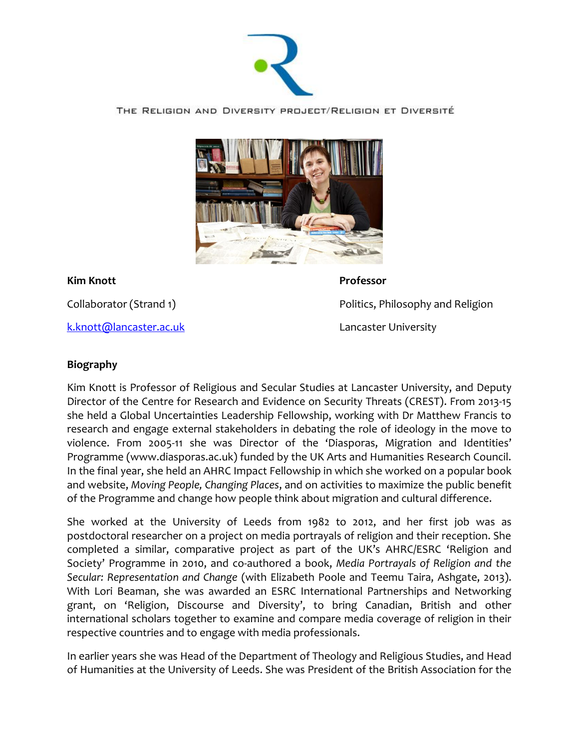

THE RELIGION AND DIVERSITY PROJECT/RELIGION ET DIVERSITÉ



**Kim Knott Professor** 

[k.knott@lancaster.ac.uk](mailto:k.knott@lancaster.ac.uk) Lancaster University

Collaborator (Strand 1) The Collaborator (Strand 1) And Religion and Religion and Religion

## **Biography**

Kim Knott is Professor of Religious and Secular Studies at Lancaster University, and Deputy Director of the Centre for Research and Evidence on Security Threats (CREST). From 2013-15 she held a Global Uncertainties Leadership Fellowship, working with Dr Matthew Francis to research and engage external stakeholders in debating the role of ideology in the move to violence. From 2005-11 she was Director of the 'Diasporas, Migration and Identities' Programme (www.diasporas.ac.uk) funded by the UK Arts and Humanities Research Council. In the final year, she held an AHRC Impact Fellowship in which she worked on a popular book and website, *Moving People, Changing Places*, and on activities to maximize the public benefit of the Programme and change how people think about migration and cultural difference.

She worked at the University of Leeds from 1982 to 2012, and her first job was as postdoctoral researcher on a project on media portrayals of religion and their reception. She completed a similar, comparative project as part of the UK's AHRC/ESRC 'Religion and Society' Programme in 2010, and co-authored a book, *Media Portrayals of Religion and the Secular: Representation and Change* (with Elizabeth Poole and Teemu Taira, Ashgate, 2013). With Lori Beaman, she was awarded an ESRC International Partnerships and Networking grant, on 'Religion, Discourse and Diversity', to bring Canadian, British and other international scholars together to examine and compare media coverage of religion in their respective countries and to engage with media professionals.

In earlier years she was Head of the Department of Theology and Religious Studies, and Head of Humanities at the University of Leeds. She was President of the British Association for the